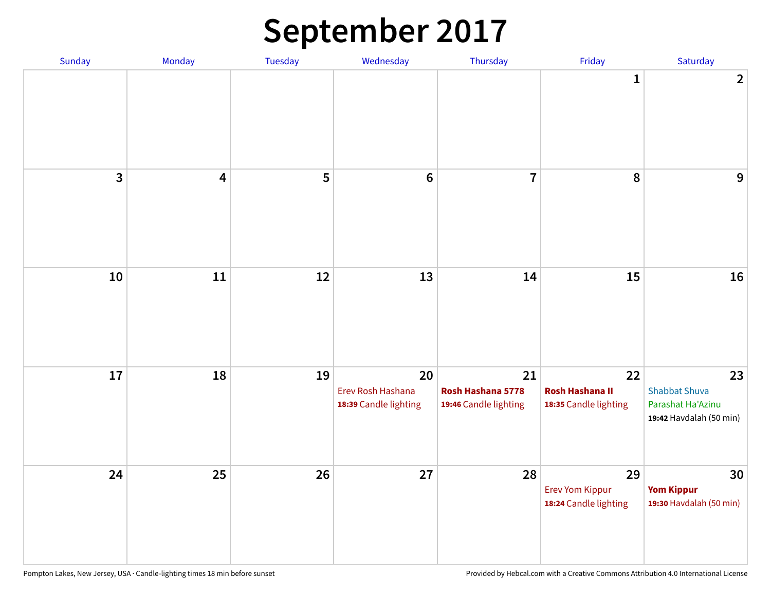# **September 2017**

| Sunday | Monday | Tuesday | Wednesday                                        | Thursday                                         | Friday                                                | Saturday                                                                   |
|--------|--------|---------|--------------------------------------------------|--------------------------------------------------|-------------------------------------------------------|----------------------------------------------------------------------------|
|        |        |         |                                                  |                                                  | $\mathbf{1}$                                          | $\overline{2}$                                                             |
| 3      | 4      | 5       | $\bf 6$                                          | $\overline{7}$                                   | 8                                                     | $\overline{9}$                                                             |
| $10\,$ | $11\,$ | 12      | 13                                               | 14                                               | 15                                                    | 16                                                                         |
| 17     | 18     | 19      | 20<br>Erev Rosh Hashana<br>18:39 Candle lighting | 21<br>Rosh Hashana 5778<br>19:46 Candle lighting | 22<br><b>Rosh Hashana II</b><br>18:35 Candle lighting | 23<br><b>Shabbat Shuva</b><br>Parashat Ha'Azinu<br>19:42 Havdalah (50 min) |
| 24     | 25     | 26      | 27                                               | 28                                               | 29<br><b>Erev Yom Kippur</b><br>18:24 Candle lighting | 30<br><b>Yom Kippur</b><br>19:30 Havdalah (50 min)                         |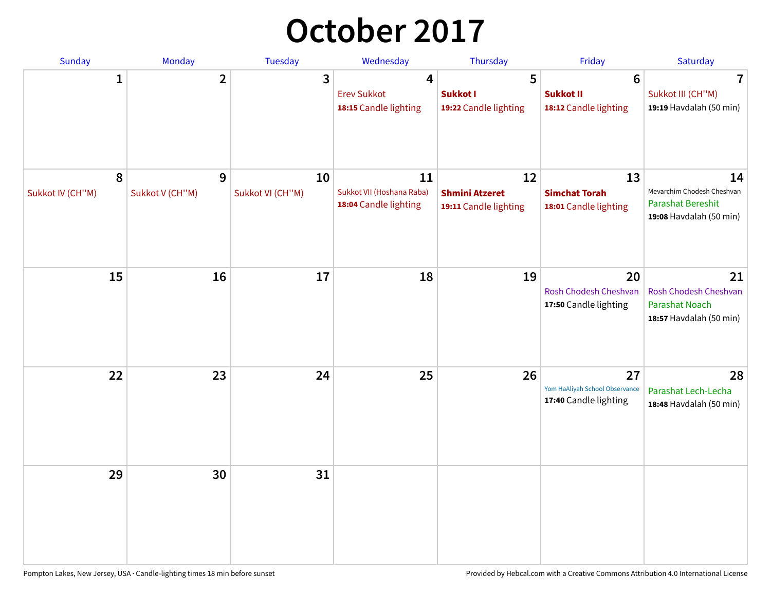# **October 2017**

| Sunday                | <b>Monday</b>        | <b>Tuesday</b>         | Wednesday                                                | Thursday                                             | Friday                                                        | Saturday                                                                         |
|-----------------------|----------------------|------------------------|----------------------------------------------------------|------------------------------------------------------|---------------------------------------------------------------|----------------------------------------------------------------------------------|
| $\mathbf{1}$          | $\overline{2}$       | 3                      | 4<br><b>Erev Sukkot</b><br>18:15 Candle lighting         | 5<br>Sukkot I<br>19:22 Candle lighting               | $6\phantom{1}$<br>Sukkot II<br>18:12 Candle lighting          | 7<br>Sukkot III (CH"M)<br>19:19 Havdalah (50 min)                                |
| 8<br>Sukkot IV (CH"M) | 9<br>Sukkot V (CH"M) | 10<br>Sukkot VI (CH"M) | 11<br>Sukkot VII (Hoshana Raba)<br>18:04 Candle lighting | 12<br><b>Shmini Atzeret</b><br>19:11 Candle lighting | 13<br><b>Simchat Torah</b><br>18:01 Candle lighting           | 14<br>Mevarchim Chodesh Cheshvan<br>Parashat Bereshit<br>19:08 Havdalah (50 min) |
| 15                    | 16                   | 17                     | 18                                                       | 19                                                   | 20<br>Rosh Chodesh Cheshvan<br>17:50 Candle lighting          | 21<br>Rosh Chodesh Cheshvan<br>Parashat Noach<br>18:57 Havdalah (50 min)         |
| 22                    | 23                   | 24                     | 25                                                       | 26                                                   | 27<br>Yom HaAliyah School Observance<br>17:40 Candle lighting | 28<br>Parashat Lech-Lecha<br>18:48 Havdalah (50 min)                             |
| 29                    | 30                   | 31                     |                                                          |                                                      |                                                               |                                                                                  |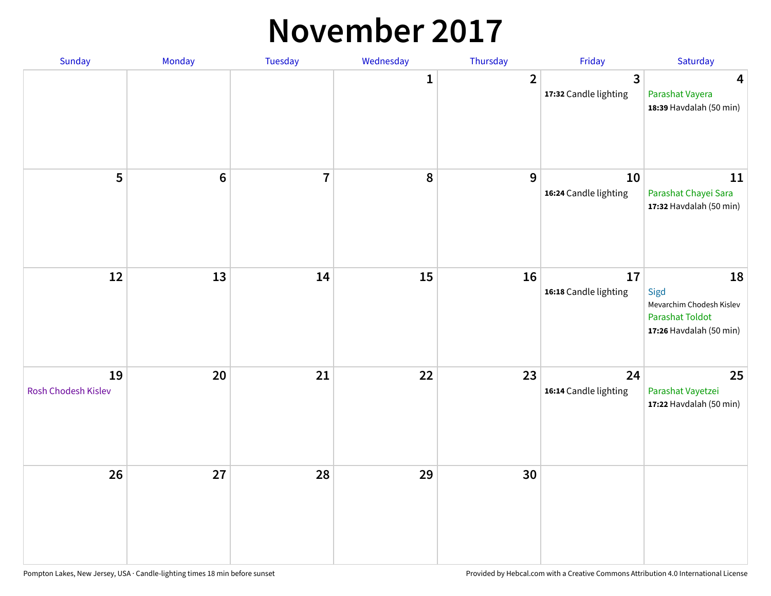#### **November 2017**

| Sunday                    | Monday          | Tuesday        | Wednesday | Thursday       | Friday                                           | Saturday                                                                                    |
|---------------------------|-----------------|----------------|-----------|----------------|--------------------------------------------------|---------------------------------------------------------------------------------------------|
|                           |                 |                | 1         | $\overline{2}$ | $\overline{\mathbf{3}}$<br>17:32 Candle lighting | $\overline{\mathbf{4}}$<br>Parashat Vayera<br>18:39 Havdalah (50 min)                       |
| 5                         | $6\phantom{1}6$ | $\overline{7}$ | 8         | 9              | 10<br>16:24 Candle lighting                      | 11<br>Parashat Chayei Sara<br>17:32 Havdalah (50 min)                                       |
| 12                        | 13              | 14             | 15        | 16             | 17<br>16:18 Candle lighting                      | 18<br>Sigd<br>Mevarchim Chodesh Kislev<br><b>Parashat Toldot</b><br>17:26 Havdalah (50 min) |
| 19<br>Rosh Chodesh Kislev | 20              | 21             | 22        | 23             | 24<br>16:14 Candle lighting                      | 25<br>Parashat Vayetzei<br>17:22 Havdalah (50 min)                                          |
| 26                        | 27              | 28             | 29        | 30             |                                                  |                                                                                             |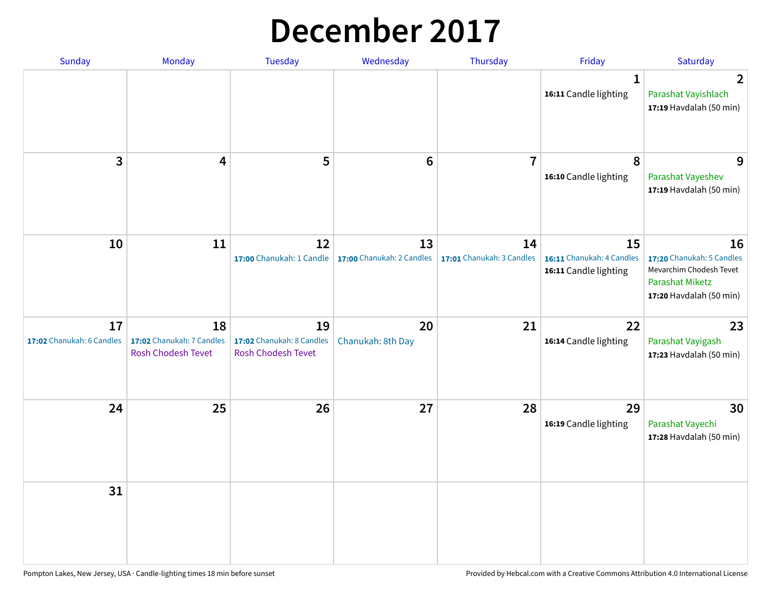### **December 2017**

| Sunday                          | Monday                                                       | <b>Tuesday</b>                                               | Wednesday                       | Thursday                        | Friday                                                   | Saturday                                                                                                        |
|---------------------------------|--------------------------------------------------------------|--------------------------------------------------------------|---------------------------------|---------------------------------|----------------------------------------------------------|-----------------------------------------------------------------------------------------------------------------|
|                                 |                                                              |                                                              |                                 |                                 | $\mathbf 1$<br>16:11 Candle lighting                     | $\mathbf{2}$<br>Parashat Vayishlach<br>17:19 Havdalah (50 min)                                                  |
| 3                               | 4                                                            | 5                                                            | $6\phantom{1}6$                 | $\overline{7}$                  | 8<br>16:10 Candle lighting                               | 9<br>Parashat Vayeshev<br>17:19 Havdalah (50 min)                                                               |
| 10                              | 11                                                           | 12<br>17:00 Chanukah: 1 Candle                               | 13<br>17:00 Chanukah: 2 Candles | 14<br>17:01 Chanukah: 3 Candles | 15<br>16:11 Chanukah: 4 Candles<br>16:11 Candle lighting | 16<br>17:20 Chanukah: 5 Candles<br>Mevarchim Chodesh Tevet<br><b>Parashat Miketz</b><br>17:20 Havdalah (50 min) |
| 17<br>17:02 Chanukah: 6 Candles | 18<br>17:02 Chanukah: 7 Candles<br><b>Rosh Chodesh Tevet</b> | 19<br>17:02 Chanukah: 8 Candles<br><b>Rosh Chodesh Tevet</b> | 20<br>Chanukah: 8th Day         | 21                              | 22<br>16:14 Candle lighting                              | 23<br>Parashat Vayigash<br>17:23 Havdalah (50 min)                                                              |
| 24                              | 25                                                           | 26                                                           | 27                              | 28                              | 29<br>16:19 Candle lighting                              | 30<br>Parashat Vayechi<br>17:28 Havdalah (50 min)                                                               |
| 31                              |                                                              |                                                              |                                 |                                 |                                                          |                                                                                                                 |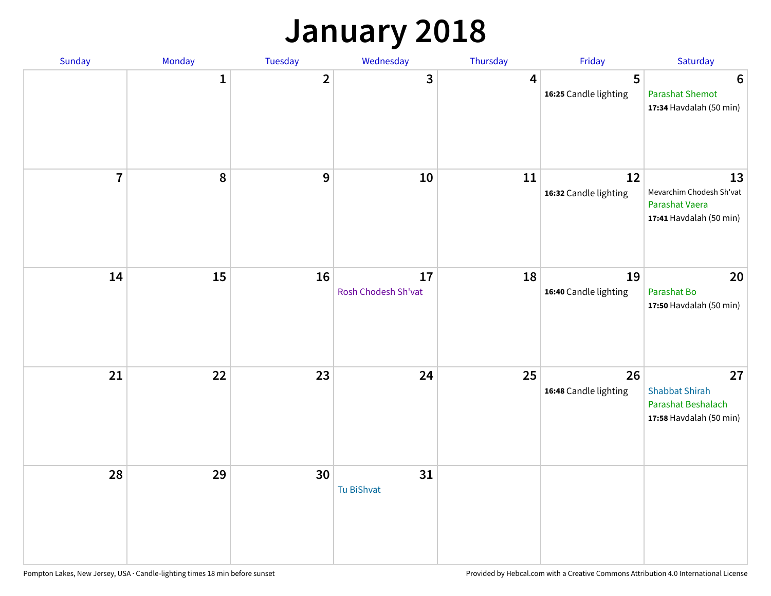### **January 2018**

| Sunday         | Monday       | Tuesday                 | Wednesday                 | Thursday | Friday                      | Saturday                                                                     |
|----------------|--------------|-------------------------|---------------------------|----------|-----------------------------|------------------------------------------------------------------------------|
|                | $\mathbf{1}$ | $\overline{\mathbf{2}}$ | 3                         | 4        | 5<br>16:25 Candle lighting  | $6\phantom{1}6$<br><b>Parashat Shemot</b><br>17:34 Havdalah (50 min)         |
| $\overline{7}$ | 8            | $\boldsymbol{9}$        | 10                        | 11       | 12<br>16:32 Candle lighting | 13<br>Mevarchim Chodesh Sh'vat<br>Parashat Vaera<br>17:41 Havdalah (50 min)  |
| 14             | 15           | 16                      | 17<br>Rosh Chodesh Sh'vat | 18       | 19<br>16:40 Candle lighting | 20<br>Parashat Bo<br>17:50 Havdalah (50 min)                                 |
| 21             | 22           | 23                      | 24                        | 25       | 26<br>16:48 Candle lighting | 27<br><b>Shabbat Shirah</b><br>Parashat Beshalach<br>17:58 Havdalah (50 min) |
| 28             | 29           | 30                      | 31<br>Tu BiShvat          |          |                             |                                                                              |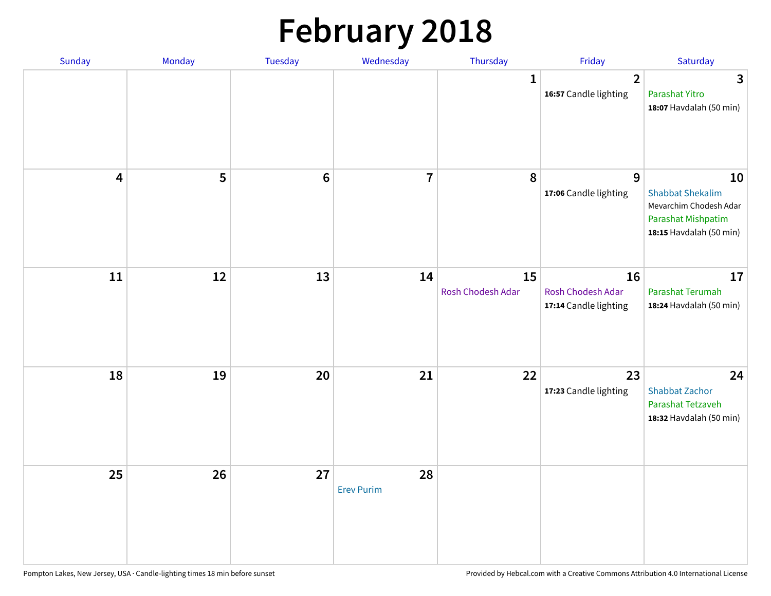# **February 2018**

| <b>Sunday</b>           | Monday | <b>Tuesday</b> | Wednesday               | Thursday                | Friday                                           | Saturday                                                                                                 |
|-------------------------|--------|----------------|-------------------------|-------------------------|--------------------------------------------------|----------------------------------------------------------------------------------------------------------|
|                         |        |                |                         | $\mathbf{1}$            | $\overline{2}$<br>16:57 Candle lighting          | $\mathbf{3}$<br>Parashat Yitro<br>18:07 Havdalah (50 min)                                                |
| $\overline{\mathbf{4}}$ | 5      | $6\,$          | $\overline{7}$          | 8                       | 9<br>17:06 Candle lighting                       | 10<br><b>Shabbat Shekalim</b><br>Mevarchim Chodesh Adar<br>Parashat Mishpatim<br>18:15 Havdalah (50 min) |
| $11\,$                  | 12     | 13             | 14                      | 15<br>Rosh Chodesh Adar | 16<br>Rosh Chodesh Adar<br>17:14 Candle lighting | 17<br>Parashat Terumah<br>18:24 Havdalah (50 min)                                                        |
| 18                      | 19     | 20             | 21                      | 22                      | 23<br>17:23 Candle lighting                      | 24<br><b>Shabbat Zachor</b><br>Parashat Tetzaveh<br>18:32 Havdalah (50 min)                              |
| 25                      | 26     | 27             | 28<br><b>Erev Purim</b> |                         |                                                  |                                                                                                          |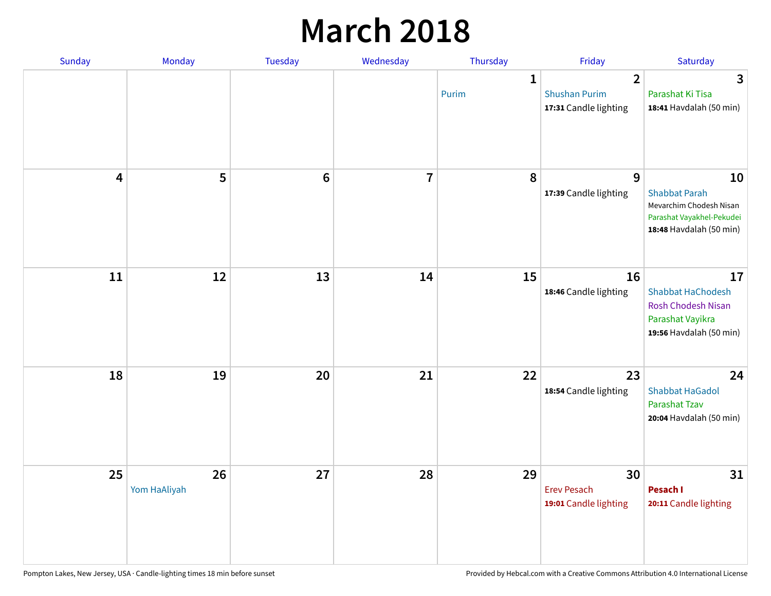### **March 2018**

| Sunday | Monday             | <b>Tuesday</b> | Wednesday      | Thursday              | Friday                                                          | Saturday                                                                                                      |
|--------|--------------------|----------------|----------------|-----------------------|-----------------------------------------------------------------|---------------------------------------------------------------------------------------------------------------|
|        |                    |                |                | $\mathbf{1}$<br>Purim | $\overline{2}$<br><b>Shushan Purim</b><br>17:31 Candle lighting | 3<br>Parashat Ki Tisa<br>18:41 Havdalah (50 min)                                                              |
| 4      | 5                  | $\bf 6$        | $\overline{7}$ | 8                     | 9<br>17:39 Candle lighting                                      | 10<br><b>Shabbat Parah</b><br>Mevarchim Chodesh Nisan<br>Parashat Vayakhel-Pekudei<br>18:48 Havdalah (50 min) |
| 11     | 12                 | 13             | 14             | 15                    | 16<br>18:46 Candle lighting                                     | 17<br><b>Shabbat HaChodesh</b><br><b>Rosh Chodesh Nisan</b><br>Parashat Vayikra<br>19:56 Havdalah (50 min)    |
| 18     | 19                 | 20             | 21             | 22                    | 23<br>18:54 Candle lighting                                     | 24<br><b>Shabbat HaGadol</b><br>Parashat Tzav<br>20:04 Havdalah (50 min)                                      |
| 25     | 26<br>Yom HaAliyah | 27             | 28             | 29                    | 30<br><b>Erev Pesach</b><br>19:01 Candle lighting               | 31<br>Pesach I<br>20:11 Candle lighting                                                                       |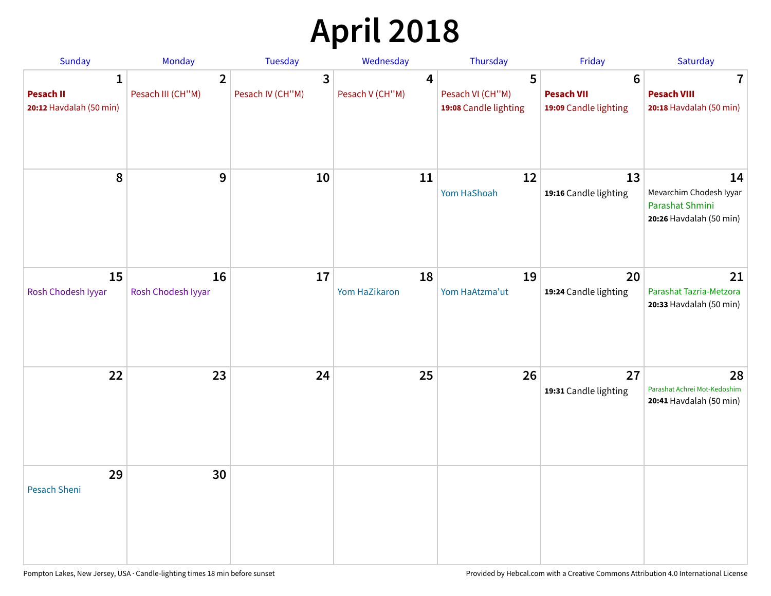# **April 2018**

| Sunday                                           | Monday                              | Tuesday               | Wednesday            | Thursday                                       | Friday                                                        | Saturday                                                                    |
|--------------------------------------------------|-------------------------------------|-----------------------|----------------------|------------------------------------------------|---------------------------------------------------------------|-----------------------------------------------------------------------------|
| 1<br><b>Pesach II</b><br>20:12 Havdalah (50 min) | $\overline{2}$<br>Pesach III (CH"M) | 3<br>Pesach IV (CH"M) | 4<br>Pesach V (CH"M) | 5<br>Pesach VI (CH"M)<br>19:08 Candle lighting | $6\phantom{1}6$<br><b>Pesach VII</b><br>19:09 Candle lighting | 7<br><b>Pesach VIII</b><br>20:18 Havdalah (50 min)                          |
| 8                                                | 9                                   | 10                    | 11                   | 12<br>Yom HaShoah                              | 13<br>19:16 Candle lighting                                   | 14<br>Mevarchim Chodesh Iyyar<br>Parashat Shmini<br>20:26 Havdalah (50 min) |
| 15<br>Rosh Chodesh Iyyar                         | 16<br>Rosh Chodesh Iyyar            | 17                    | 18<br>Yom HaZikaron  | 19<br>Yom HaAtzma'ut                           | 20<br>19:24 Candle lighting                                   | 21<br>Parashat Tazria-Metzora<br>20:33 Havdalah (50 min)                    |
| 22                                               | 23                                  | 24                    | 25                   | 26                                             | 27<br>19:31 Candle lighting                                   | 28<br>Parashat Achrei Mot-Kedoshim<br>20:41 Havdalah (50 min)               |
| 29<br><b>Pesach Sheni</b>                        | 30                                  |                       |                      |                                                |                                                               |                                                                             |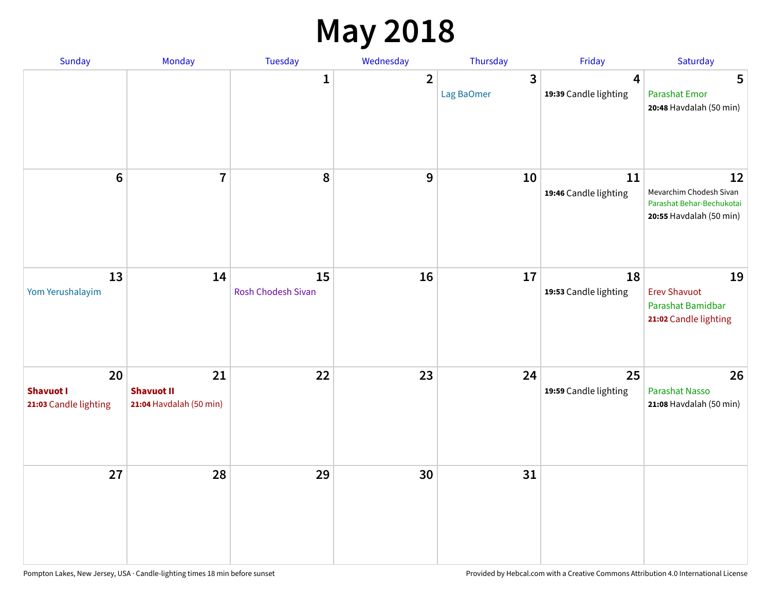### **May 2018**

| Sunday                                          | Monday                                             | Tuesday                  | Wednesday    | Thursday        | Friday                      | Saturday                                                                              |
|-------------------------------------------------|----------------------------------------------------|--------------------------|--------------|-----------------|-----------------------------|---------------------------------------------------------------------------------------|
|                                                 |                                                    | $\mathbf{1}$             | $\mathbf{2}$ | 3<br>Lag BaOmer | 4<br>19:39 Candle lighting  | 5<br><b>Parashat Emor</b><br>20:48 Havdalah (50 min)                                  |
| $\bf 6$                                         | $\overline{7}$                                     | $\pmb{8}$                | 9            | 10              | 11<br>19:46 Candle lighting | 12<br>Mevarchim Chodesh Sivan<br>Parashat Behar-Bechukotai<br>20:55 Havdalah (50 min) |
| 13<br>Yom Yerushalayim                          | 14                                                 | 15<br>Rosh Chodesh Sivan | 16           | 17              | 18<br>19:53 Candle lighting | 19<br><b>Erev Shavuot</b><br>Parashat Bamidbar<br>21:02 Candle lighting               |
| 20<br><b>Shavuot I</b><br>21:03 Candle lighting | 21<br><b>Shavuot II</b><br>21:04 Havdalah (50 min) | 22                       | 23           | 24              | 25<br>19:59 Candle lighting | 26<br><b>Parashat Nasso</b><br>21:08 Havdalah (50 min)                                |
| 27                                              | 28                                                 | 29                       | 30           | 31              |                             |                                                                                       |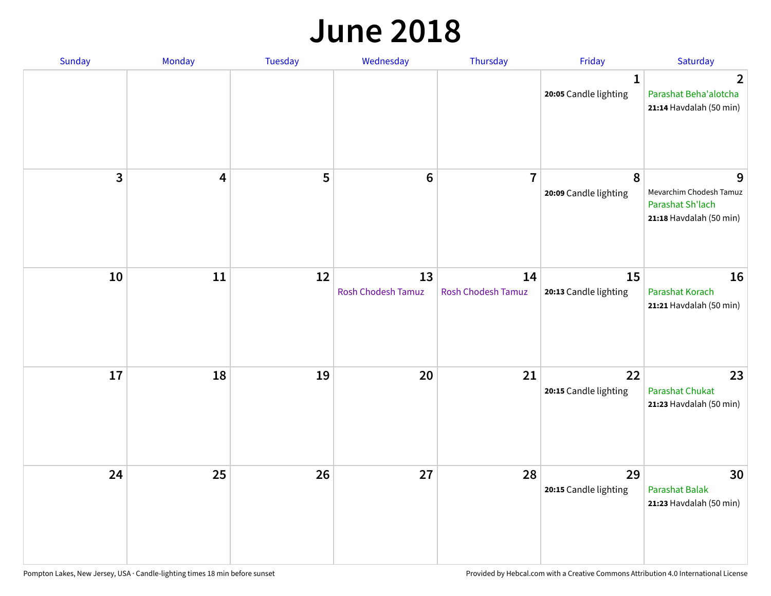#### **June 2018**

| Sunday | Monday   | Tuesday | Wednesday                | Thursday                 | Friday                                | Saturday                                                                    |
|--------|----------|---------|--------------------------|--------------------------|---------------------------------------|-----------------------------------------------------------------------------|
|        |          |         |                          |                          | $\mathbf{1}$<br>20:05 Candle lighting | $\mathbf 2$<br>Parashat Beha'alotcha<br>21:14 Havdalah (50 min)             |
|        | 3<br>4   | 5       | $\bf 6$                  | $\overline{7}$           | 8<br>20:09 Candle lighting            | 9<br>Mevarchim Chodesh Tamuz<br>Parashat Sh'lach<br>21:18 Havdalah (50 min) |
|        | 10<br>11 | 12      | 13<br>Rosh Chodesh Tamuz | 14<br>Rosh Chodesh Tamuz | 15<br>20:13 Candle lighting           | 16<br>Parashat Korach<br>21:21 Havdalah (50 min)                            |
|        | 17<br>18 | 19      | 20                       | 21                       | 22<br>20:15 Candle lighting           | 23<br><b>Parashat Chukat</b><br>21:23 Havdalah (50 min)                     |
|        | 24<br>25 | 26      | 27                       | 28                       | 29<br>20:15 Candle lighting           | 30<br>Parashat Balak<br>21:23 Havdalah (50 min)                             |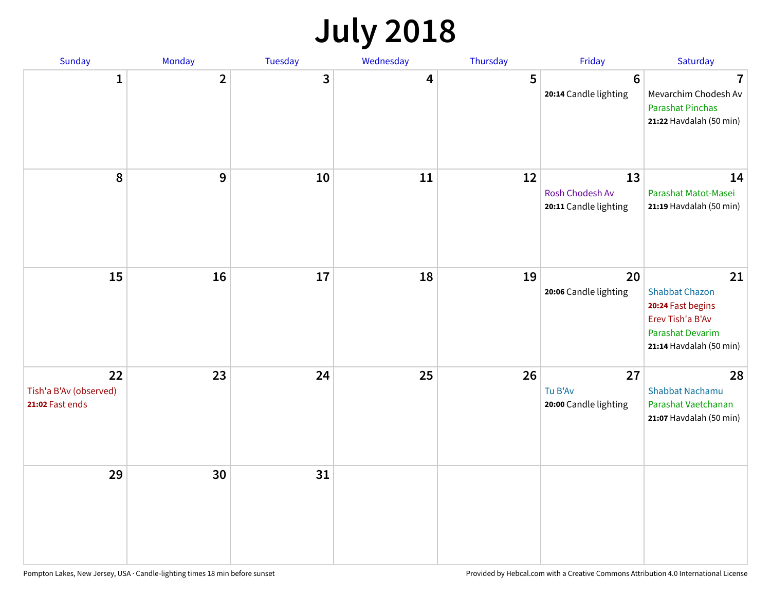# **July 2018**

| Sunday                                          | Monday         | Tuesday | Wednesday | Thursday | Friday                                         | Saturday                                                                                                                   |
|-------------------------------------------------|----------------|---------|-----------|----------|------------------------------------------------|----------------------------------------------------------------------------------------------------------------------------|
| $\mathbf{1}$                                    | $\overline{2}$ | 3       | 4         | 5        | $6\phantom{1}6$<br>20:14 Candle lighting       | $\overline{\mathbf{7}}$<br>Mevarchim Chodesh Av<br><b>Parashat Pinchas</b><br>21:22 Havdalah (50 min)                      |
| ${\bf 8}$                                       | 9              | 10      | 11        | 12       | 13<br>Rosh Chodesh Av<br>20:11 Candle lighting | 14<br>Parashat Matot-Masei<br>21:19 Havdalah (50 min)                                                                      |
| 15                                              | 16             | 17      | 18        | 19       | 20<br>20:06 Candle lighting                    | 21<br><b>Shabbat Chazon</b><br>20:24 Fast begins<br>Erev Tish'a B'Av<br><b>Parashat Devarim</b><br>21:14 Havdalah (50 min) |
| 22<br>Tish'a B'Av (observed)<br>21:02 Fast ends | 23             | 24      | 25        | 26       | 27<br>Tu B'Av<br>20:00 Candle lighting         | 28<br><b>Shabbat Nachamu</b><br>Parashat Vaetchanan<br>21:07 Havdalah (50 min)                                             |
| 29                                              | 30             | 31      |           |          |                                                |                                                                                                                            |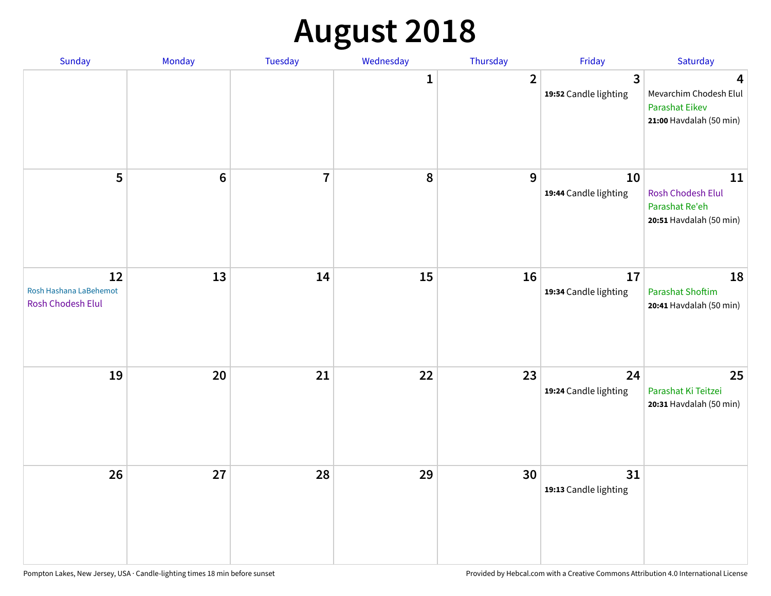# **August 2018**

| Sunday                                            | Monday           | Tuesday        | Wednesday    | Thursday       | Friday                      | Saturday                                                                        |
|---------------------------------------------------|------------------|----------------|--------------|----------------|-----------------------------|---------------------------------------------------------------------------------|
|                                                   |                  |                | $\mathbf{1}$ | $\overline{2}$ | 3<br>19:52 Candle lighting  | 4<br>Mevarchim Chodesh Elul<br><b>Parashat Eikev</b><br>21:00 Havdalah (50 min) |
| 5                                                 | $\boldsymbol{6}$ | $\overline{7}$ | 8            | 9              | 10<br>19:44 Candle lighting | 11<br><b>Rosh Chodesh Elul</b><br>Parashat Re'eh<br>20:51 Havdalah (50 min)     |
| 12<br>Rosh Hashana LaBehemot<br>Rosh Chodesh Elul | 13               | 14             | 15           | 16             | 17<br>19:34 Candle lighting | 18<br><b>Parashat Shoftim</b><br>20:41 Havdalah (50 min)                        |
| 19                                                | 20               | 21             | 22           | 23             | 24<br>19:24 Candle lighting | 25<br>Parashat Ki Teitzei<br>20:31 Havdalah (50 min)                            |
| 26                                                | 27               | 28             | 29           | 30             | 31<br>19:13 Candle lighting |                                                                                 |